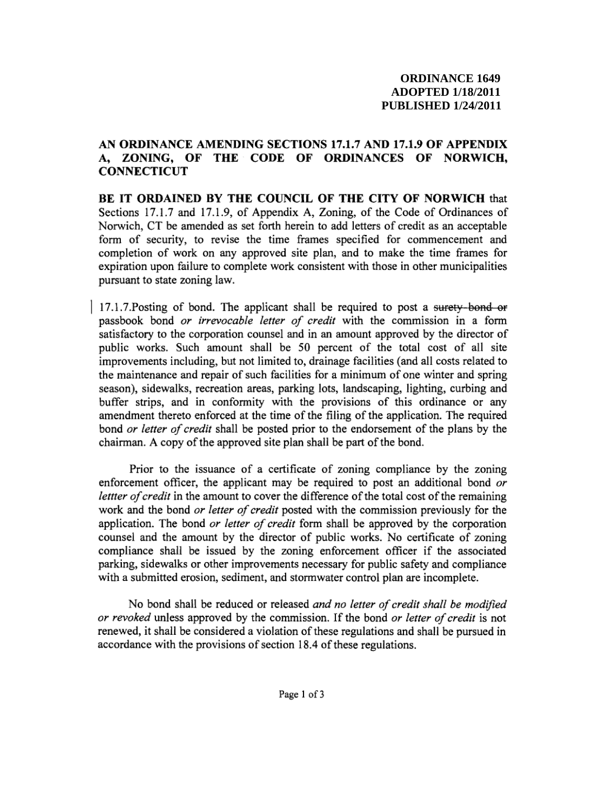# AN ORDINANCE AMENDING SECTIONS 17.1.7 AND 17.1.9 OF APPENDIX A, ZONING, OF THE CODE OF ORDINANCES OF NORWICH, **CONNECTICUT**

BE IT ORDAINED BY THE COUNCIL OF THE CITY OF NORWICH that Sections 17.1.7 and 17.1.9, of Appendix A, Zoning, of the Code of Ordinances of Norwich, CT be amended as set forth herein to add letters of credit as an acceptable form of security, to revise the time frames specified for commencement and completion of work on any approved site plan, and to make the time frames for expiration upon failure to complete work consistent with those in other municipalities pursuant to state zoning law.

17.1.7. Posting of bond. The applicant shall be required to post a surety-bond or passbook bond or irrevocable letter of credit with the commission in a form satisfactory to the corporation counsel and in an amount approved by the director of public works. Such amount shall be 50 percent of the total cost of all site improvements including, but not limited to, drainage facilities (and all costs related to the maintenance and repair of such facilities for a minimum of one winter and spring season), sidewalks, recreation areas, parking lots, landscaping, lighting, curbing and buffer strips, and in conformity with the provisions of this ordinance or any amendment thereto enforced at the time of the filing of the application. The required bond or letter of credit shall be posted prior to the endorsement of the plans by the chairman. A copy of the approved site plan shall be part of the bond.

Prior to the issuance of a certificate of zoning compliance by the zoning enforcement officer, the applicant may be required to post an additional bond or lettter of credit in the amount to cover the difference of the total cost of the remaining work and the bond or letter of credit posted with the commission previously for the application. The bond or letter of credit form shall be approved by the corporation counsel and the amount by the director of public works. No certificate of zoning compliance shall be issued by the zoning enforcement officer if the associated parking, sidewalks or other improvements necessary for public safety and compliance with a submitted erosion, sediment, and stormwater control plan are incomplete.

No bond shall be reduced or released and no letter of credit shall be modified or revoked unless approved by the commission. If the bond or letter of credit is not renewed, it shall be considered a violation of these regulations and shall be pursued in accordance with the provisions of section 18.4 of these regulations.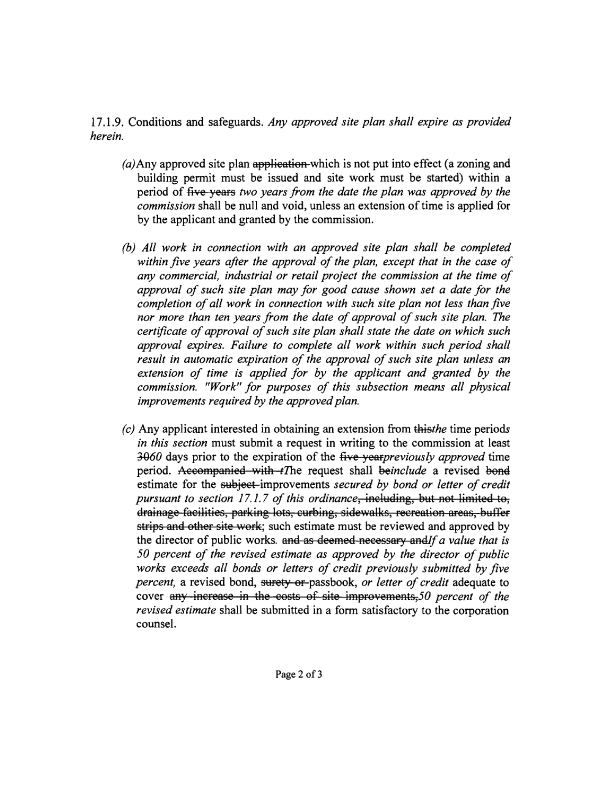17.1.9. Conditions and safeguards. Any approved site plan shall expire as provided herein.

- $(a)$ Any approved site plan application-which is not put into effect (a zoning and building permit must be issued and site work must be started) within a period of <del>five years</del> two years from the date the plan was approved by the *commission* shall be null and void, unless an extension of time is applied for by the applicant and granted by the commission.
- (b) All work in connection with an approved site plan shall be completed within five years after the approval of the plan, except that in the case of any commercial, industrial or retail project the commission at the time of approval of such site plan may for good cause shown set a date for the completion of all work in connection with such site plan not less than five nor more than ten years from the date of approval of such site plan. The certificate of approval of such site plan shall state the date on which such approval expires. Failure to complete all work within such period shall result in automatic expiration of the approval of such site plan unless an extension of time is applied for by the applicant and granted by the commission. "Work" for purposes of this subsection means all physical improvements required by the approved plan.
- $(c)$  Any applicant interested in obtaining an extension from this the time periods in this section must submit a request in writing to the commission at least 3060 days prior to the expiration of the five yearpreviously approved time period. Accompanied with tThe request shall beinclude a revised bond estimate for the subject-improvements secured by bond or letter of credit pursuant to section 17.1.7 of this ordinance, including, but not limited to, drainage facilities, parking lots, curbing, sidewalks, recreation areas, buffer strips and other site work; such estimate must be reviewed and approved by the director of public works. and as deemed-necessary and If a value that is 50 percent of the revised estimate as approved by the director of public works exceeds all bonds or letters of credit previously submitted by five *percent*, a revised bond, surety or passbook, or letter of credit adequate to cover any increase in the costs of site improvements, 50 percent of the *revised estimate* shall be submitted in a form satisfactory to the corporation counsel.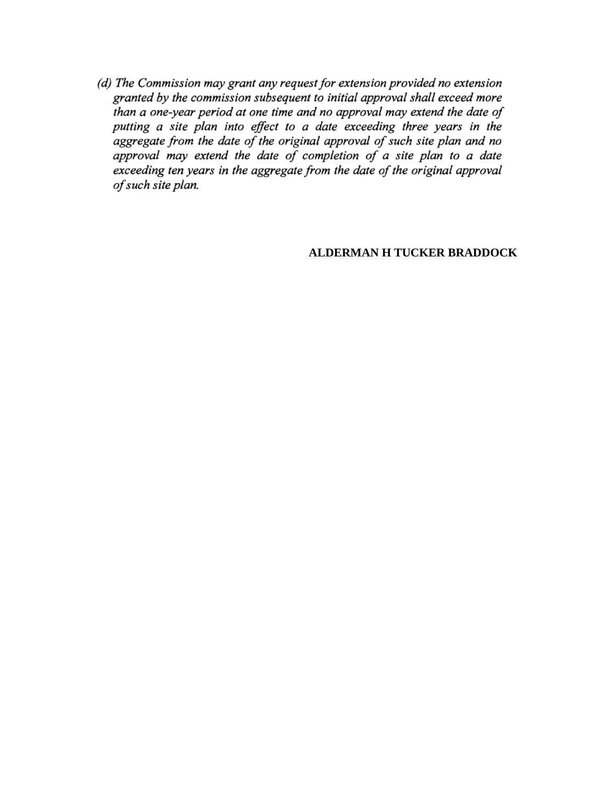(d) The Commission may grant any request for extension provided no extension granted by the commission subsequent to initial approval shall exceed more than a one-year period at one time and no approval may extend the date of putting a site plan into effect to a date exceeding three years in the aggregate from the date of the original approval of such site plan and no approval may extend the date of completion of a site plan to a date exceeding ten years in the aggregate from the date of the original approval of such site plan.

## **ALDERMAN H TUCKER BRADDOCK**